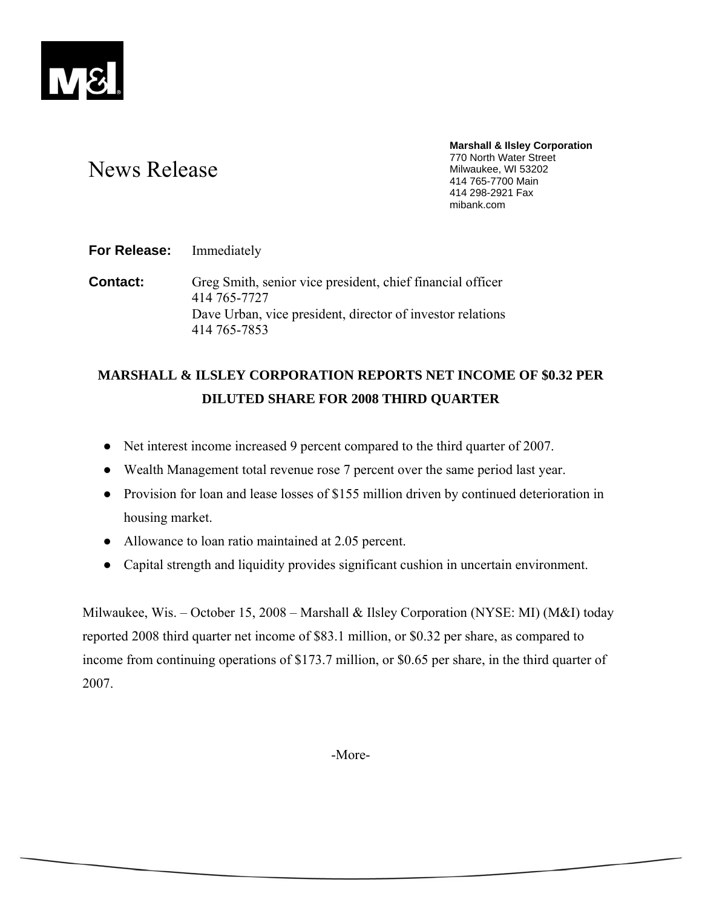

# News Release

**Marshall & Ilsley Corporation**  770 North Water Street Milwaukee, WI 53202 414 765-7700 Main 414 298-2921 Fax mibank.com

**For Release:** Immediately

**Contact:** Greg Smith, senior vice president, chief financial officer 414 765-7727 Dave Urban, vice president, director of investor relations 414 765-7853

## **MARSHALL & ILSLEY CORPORATION REPORTS NET INCOME OF \$0.32 PER DILUTED SHARE FOR 2008 THIRD QUARTER**

- Net interest income increased 9 percent compared to the third quarter of 2007.
- Wealth Management total revenue rose 7 percent over the same period last year.
- Provision for loan and lease losses of \$155 million driven by continued deterioration in housing market.
- Allowance to loan ratio maintained at 2.05 percent.
- Capital strength and liquidity provides significant cushion in uncertain environment.

Milwaukee, Wis. – October 15, 2008 – Marshall & Ilsley Corporation (NYSE: MI) (M&I) today reported 2008 third quarter net income of \$83.1 million, or \$0.32 per share, as compared to income from continuing operations of \$173.7 million, or \$0.65 per share, in the third quarter of 2007.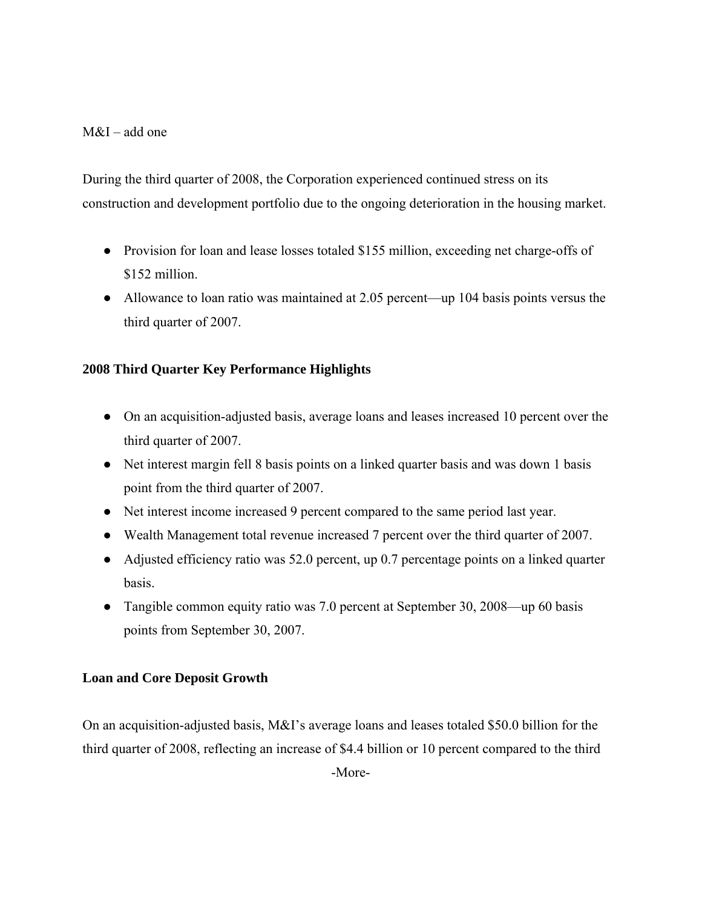## $M&I$  – add one

During the third quarter of 2008, the Corporation experienced continued stress on its construction and development portfolio due to the ongoing deterioration in the housing market.

- Provision for loan and lease losses totaled \$155 million, exceeding net charge-offs of \$152 million.
- Allowance to loan ratio was maintained at 2.05 percent—up 104 basis points versus the third quarter of 2007.

## **2008 Third Quarter Key Performance Highlights**

- On an acquisition-adjusted basis, average loans and leases increased 10 percent over the third quarter of 2007.
- Net interest margin fell 8 basis points on a linked quarter basis and was down 1 basis point from the third quarter of 2007.
- Net interest income increased 9 percent compared to the same period last year.
- Wealth Management total revenue increased 7 percent over the third quarter of 2007.
- Adjusted efficiency ratio was 52.0 percent, up 0.7 percentage points on a linked quarter basis.
- Tangible common equity ratio was 7.0 percent at September 30, 2008—up 60 basis points from September 30, 2007.

## **Loan and Core Deposit Growth**

On an acquisition-adjusted basis, M&I's average loans and leases totaled \$50.0 billion for the third quarter of 2008, reflecting an increase of \$4.4 billion or 10 percent compared to the third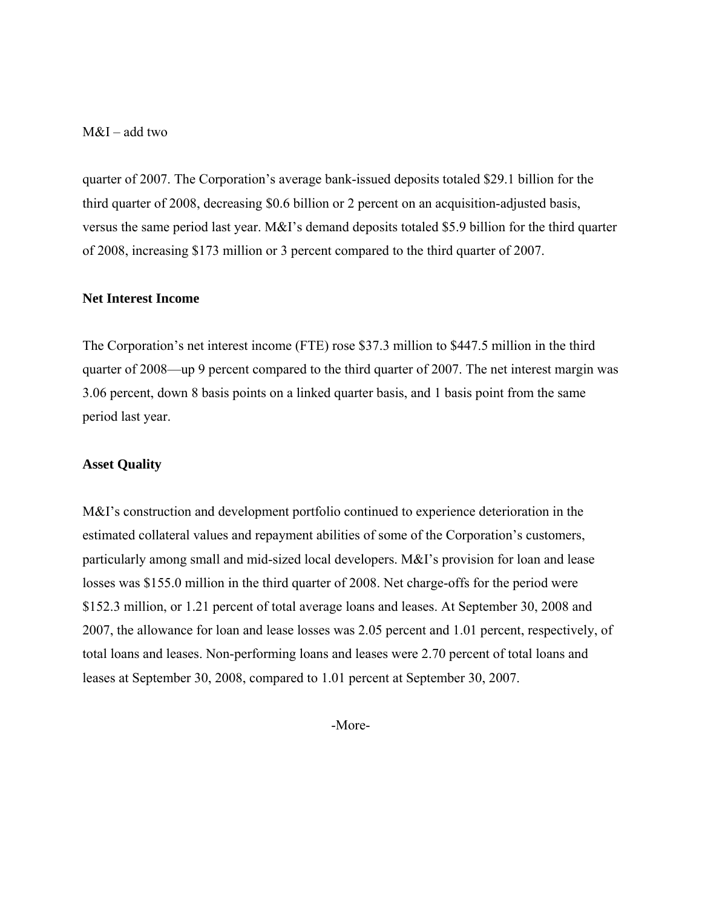### M&I – add two

quarter of 2007. The Corporation's average bank-issued deposits totaled \$29.1 billion for the third quarter of 2008, decreasing \$0.6 billion or 2 percent on an acquisition-adjusted basis, versus the same period last year. M&I's demand deposits totaled \$5.9 billion for the third quarter of 2008, increasing \$173 million or 3 percent compared to the third quarter of 2007.

#### **Net Interest Income**

The Corporation's net interest income (FTE) rose \$37.3 million to \$447.5 million in the third quarter of 2008—up 9 percent compared to the third quarter of 2007. The net interest margin was 3.06 percent, down 8 basis points on a linked quarter basis, and 1 basis point from the same period last year.

#### **Asset Quality**

M&I's construction and development portfolio continued to experience deterioration in the estimated collateral values and repayment abilities of some of the Corporation's customers, particularly among small and mid-sized local developers. M&I's provision for loan and lease losses was \$155.0 million in the third quarter of 2008. Net charge-offs for the period were \$152.3 million, or 1.21 percent of total average loans and leases. At September 30, 2008 and 2007, the allowance for loan and lease losses was 2.05 percent and 1.01 percent, respectively, of total loans and leases. Non-performing loans and leases were 2.70 percent of total loans and leases at September 30, 2008, compared to 1.01 percent at September 30, 2007.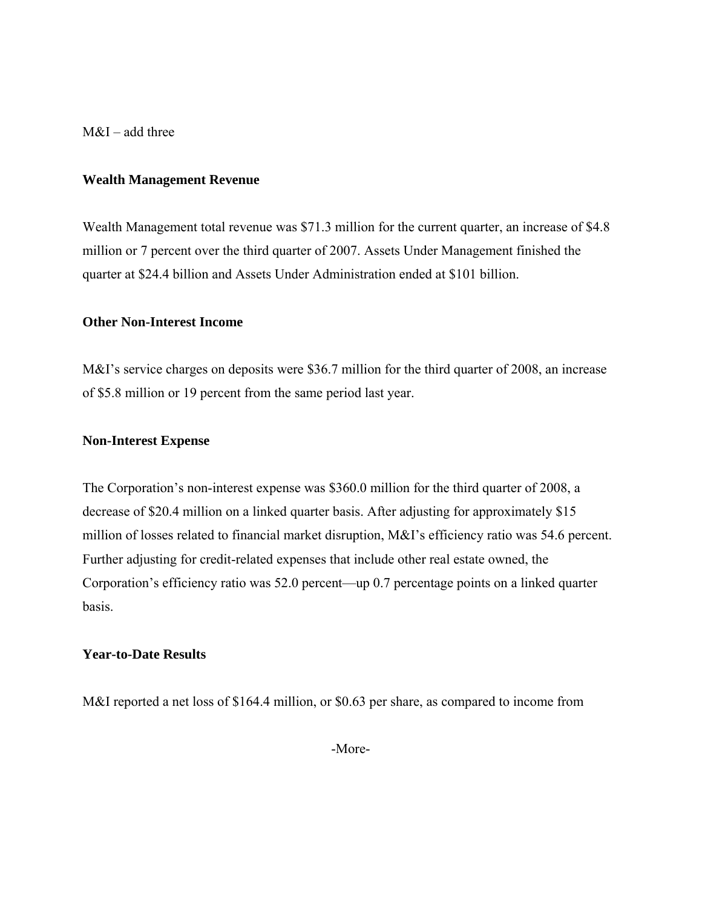M&I – add three

#### **Wealth Management Revenue**

Wealth Management total revenue was \$71.3 million for the current quarter, an increase of \$4.8 million or 7 percent over the third quarter of 2007. Assets Under Management finished the quarter at \$24.4 billion and Assets Under Administration ended at \$101 billion.

#### **Other Non-Interest Income**

M&I's service charges on deposits were \$36.7 million for the third quarter of 2008, an increase of \$5.8 million or 19 percent from the same period last year.

#### **Non-Interest Expense**

The Corporation's non-interest expense was \$360.0 million for the third quarter of 2008, a decrease of \$20.4 million on a linked quarter basis. After adjusting for approximately \$15 million of losses related to financial market disruption, M&I's efficiency ratio was 54.6 percent. Further adjusting for credit-related expenses that include other real estate owned, the Corporation's efficiency ratio was 52.0 percent—up 0.7 percentage points on a linked quarter basis.

#### **Year-to-Date Results**

M&I reported a net loss of \$164.4 million, or \$0.63 per share, as compared to income from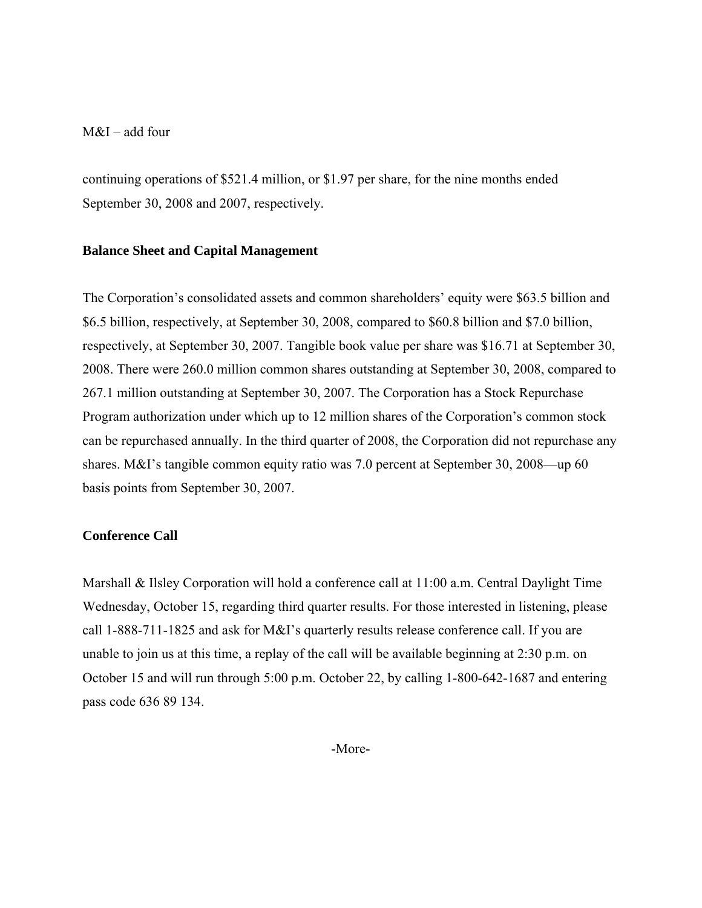### M&I – add four

continuing operations of \$521.4 million, or \$1.97 per share, for the nine months ended September 30, 2008 and 2007, respectively.

#### **Balance Sheet and Capital Management**

The Corporation's consolidated assets and common shareholders' equity were \$63.5 billion and \$6.5 billion, respectively, at September 30, 2008, compared to \$60.8 billion and \$7.0 billion, respectively, at September 30, 2007. Tangible book value per share was \$16.71 at September 30, 2008. There were 260.0 million common shares outstanding at September 30, 2008, compared to 267.1 million outstanding at September 30, 2007. The Corporation has a Stock Repurchase Program authorization under which up to 12 million shares of the Corporation's common stock can be repurchased annually. In the third quarter of 2008, the Corporation did not repurchase any shares. M&I's tangible common equity ratio was 7.0 percent at September 30, 2008—up 60 basis points from September 30, 2007.

#### **Conference Call**

Marshall & Ilsley Corporation will hold a conference call at 11:00 a.m. Central Daylight Time Wednesday, October 15, regarding third quarter results. For those interested in listening, please call 1-888-711-1825 and ask for M&I's quarterly results release conference call. If you are unable to join us at this time, a replay of the call will be available beginning at 2:30 p.m. on October 15 and will run through 5:00 p.m. October 22, by calling 1-800-642-1687 and entering pass code 636 89 134.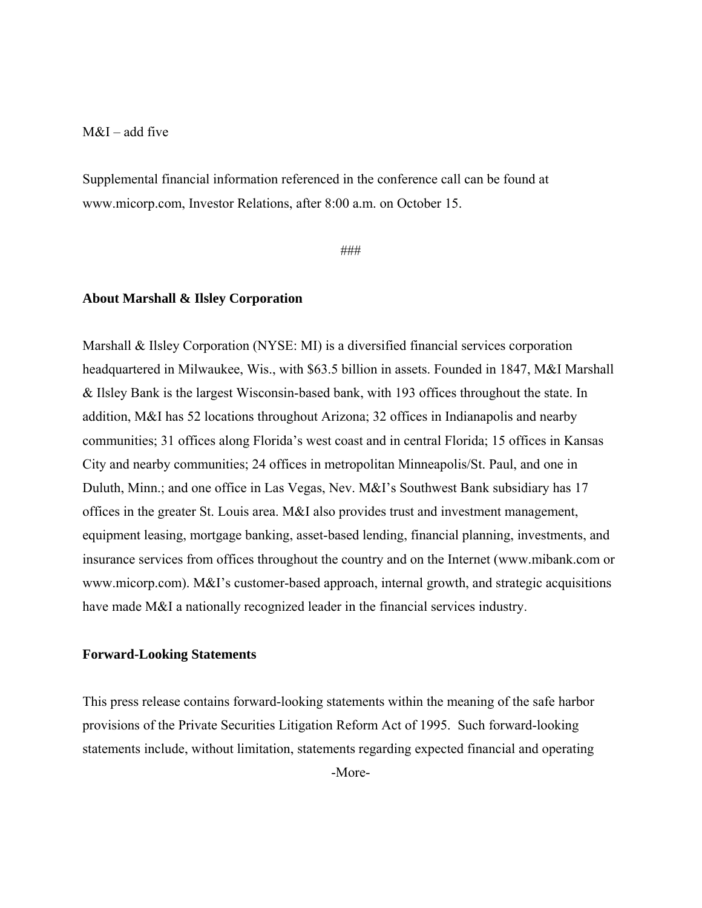### $M&I$  – add five

Supplemental financial information referenced in the conference call can be found at www.micorp.com, Investor Relations, after 8:00 a.m. on October 15.

###

#### **About Marshall & Ilsley Corporation**

Marshall & Ilsley Corporation (NYSE: MI) is a diversified financial services corporation headquartered in Milwaukee, Wis., with \$63.5 billion in assets. Founded in 1847, M&I Marshall & Ilsley Bank is the largest Wisconsin-based bank, with 193 offices throughout the state. In addition, M&I has 52 locations throughout Arizona; 32 offices in Indianapolis and nearby communities; 31 offices along Florida's west coast and in central Florida; 15 offices in Kansas City and nearby communities; 24 offices in metropolitan Minneapolis/St. Paul, and one in Duluth, Minn.; and one office in Las Vegas, Nev. M&I's Southwest Bank subsidiary has 17 offices in the greater St. Louis area. M&I also provides trust and investment management, equipment leasing, mortgage banking, asset-based lending, financial planning, investments, and insurance services from offices throughout the country and on the Internet (www.mibank.com or www.micorp.com). M&I's customer-based approach, internal growth, and strategic acquisitions have made M&I a nationally recognized leader in the financial services industry.

#### **Forward-Looking Statements**

This press release contains forward-looking statements within the meaning of the safe harbor provisions of the Private Securities Litigation Reform Act of 1995. Such forward-looking statements include, without limitation, statements regarding expected financial and operating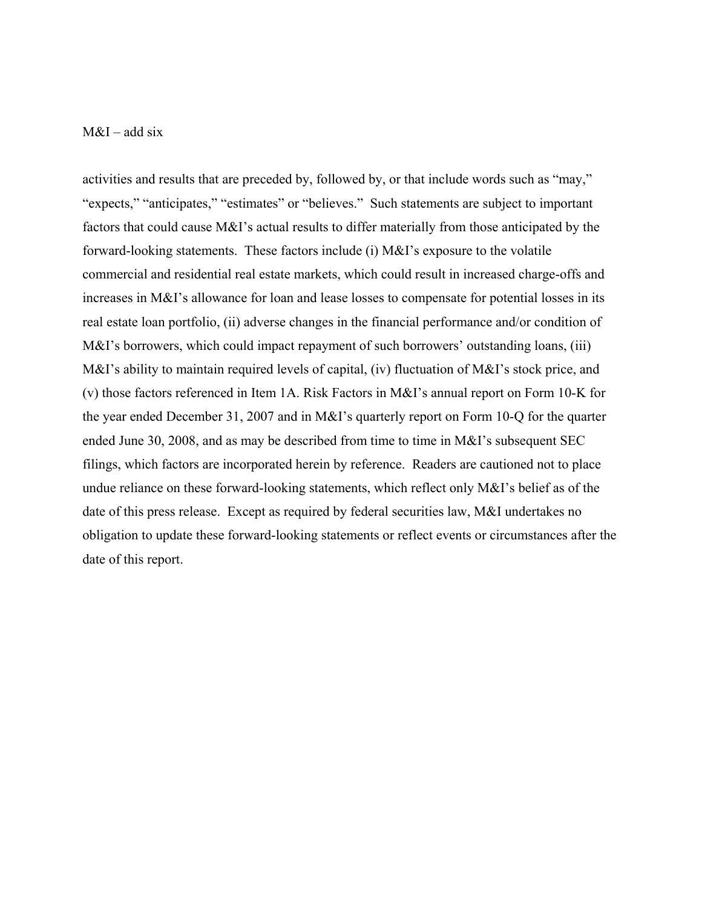### $M&I$  – add six

activities and results that are preceded by, followed by, or that include words such as "may," "expects," "anticipates," "estimates" or "believes." Such statements are subject to important factors that could cause M&I's actual results to differ materially from those anticipated by the forward-looking statements. These factors include (i) M&I's exposure to the volatile commercial and residential real estate markets, which could result in increased charge-offs and increases in M&I's allowance for loan and lease losses to compensate for potential losses in its real estate loan portfolio, (ii) adverse changes in the financial performance and/or condition of M&I's borrowers, which could impact repayment of such borrowers' outstanding loans, (iii) M&I's ability to maintain required levels of capital, (iv) fluctuation of M&I's stock price, and (v) those factors referenced in Item 1A. Risk Factors in M&I's annual report on Form 10-K for the year ended December 31, 2007 and in M&I's quarterly report on Form 10-Q for the quarter ended June 30, 2008, and as may be described from time to time in M&I's subsequent SEC filings, which factors are incorporated herein by reference. Readers are cautioned not to place undue reliance on these forward-looking statements, which reflect only M&I's belief as of the date of this press release. Except as required by federal securities law, M&I undertakes no obligation to update these forward-looking statements or reflect events or circumstances after the date of this report.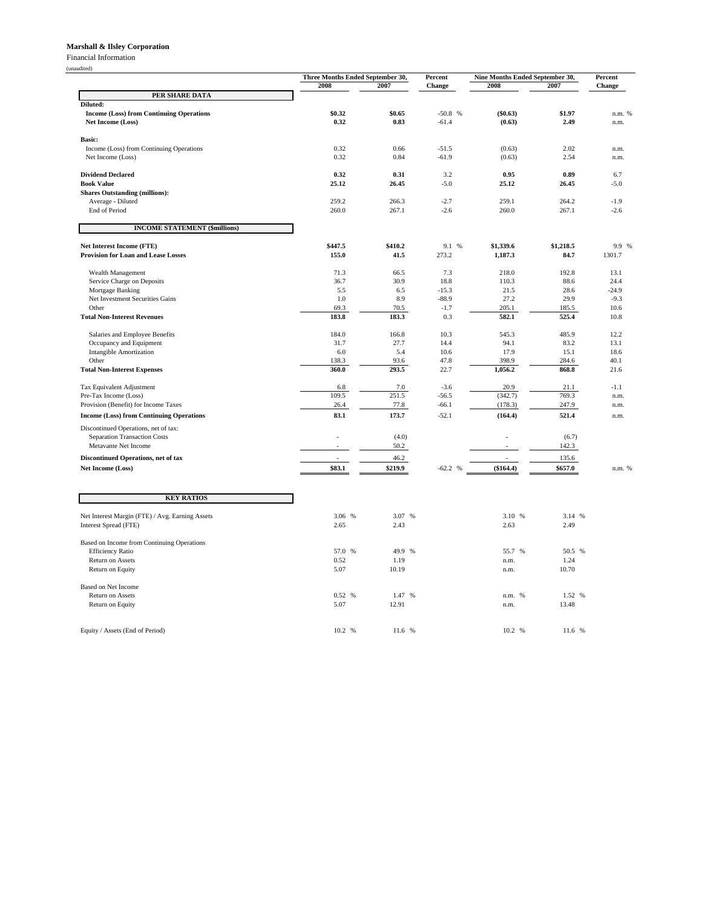#### **Marshall & Ilsley Corporation**

Financial Information

|                                                                       |              | Three Months Ended September 30, |                   | Nine Months Ended September 30, |               | Percent        |
|-----------------------------------------------------------------------|--------------|----------------------------------|-------------------|---------------------------------|---------------|----------------|
|                                                                       | 2008         | 2007                             | Change            | 2008                            | 2007          | Change         |
| PER SHARE DATA                                                        |              |                                  |                   |                                 |               |                |
| Diluted:                                                              | \$0.32       | \$0.65                           | $-50.8$ %         | (\$0.63)                        | \$1.97        |                |
| <b>Income (Loss) from Continuing Operations</b><br>Net Income (Loss)  | 0.32         | 0.83                             | $-61.4$           | (0.63)                          | 2.49          | n.m. %<br>n.m. |
|                                                                       |              |                                  |                   |                                 |               |                |
| Basic:                                                                |              |                                  |                   |                                 |               |                |
| Income (Loss) from Continuing Operations                              | 0.32         | 0.66                             | $-51.5$           | (0.63)                          | 2.02          | n.m.           |
| Net Income (Loss)                                                     | 0.32         | 0.84                             | $-61.9$           | (0.63)                          | 2.54          | n.m.           |
|                                                                       |              |                                  |                   |                                 |               |                |
| <b>Dividend Declared</b>                                              | 0.32         | 0.31                             | 3.2               | 0.95                            | 0.89          | 6.7            |
| <b>Book Value</b>                                                     | 25.12        | 26.45                            | $-5.0$            | 25.12                           | 26.45         | $-5.0$         |
| <b>Shares Outstanding (millions):</b><br>Average - Diluted            | 259.2        | 266.3                            | $-2.7$            | 259.1                           | 264.2         | $-1.9$         |
| End of Period                                                         | 260.0        | 267.1                            | $-2.6$            | 260.0                           | 267.1         | $-2.6$         |
|                                                                       |              |                                  |                   |                                 |               |                |
| <b>INCOME STATEMENT (\$millions)</b>                                  |              |                                  |                   |                                 |               |                |
| <b>Net Interest Income (FTE)</b>                                      | \$447.5      | \$410.2                          | 9.1 %             | \$1,339.6                       | \$1,218.5     | 9.9 %          |
| <b>Provision for Loan and Lease Losses</b>                            | 155.0        | 41.5                             | 273.2             | 1,187.3                         | 84.7          | 1301.7         |
|                                                                       |              |                                  |                   |                                 |               |                |
| Wealth Management                                                     | 71.3         | 66.5                             | 7.3               | 218.0                           | 192.8         | 13.1           |
| Service Charge on Deposits                                            | 36.7         | 30.9                             | 18.8              | 110.3                           | 88.6          | 24.4           |
| Mortgage Banking                                                      | 5.5          | 6.5                              | $-15.3$           | 21.5                            | 28.6          | $-24.9$        |
| Net Investment Securities Gains                                       | $1.0\,$      | 8.9                              | $-88.9$           | 27.2                            | 29.9          | $-9.3$         |
| Other                                                                 | 69.3         | 70.5                             | $-1.7$            | 205.1                           | 185.5         | 10.6           |
| <b>Total Non-Interest Revenues</b>                                    | 183.8        | 183.3                            | 0.3               | 582.1                           | 525.4         | 10.8           |
| Salaries and Employee Benefits                                        | 184.0        | 166.8                            | 10.3              | 545.3                           | 485.9         | 12.2           |
| Occupancy and Equipment                                               | 31.7         | 27.7                             | 14.4              | 94.1                            | 83.2          | 13.1           |
| <b>Intangible Amortization</b>                                        | 6.0          | 5.4                              | 10.6              | 17.9                            | 15.1          | 18.6           |
| Other                                                                 | 138.3        | 93.6                             | 47.8              | 398.9                           | 284.6         | 40.1           |
| <b>Total Non-Interest Expenses</b>                                    | 360.0        | 293.5                            | 22.7              | 1,056.2                         | 868.8         | 21.6           |
|                                                                       |              |                                  |                   |                                 |               |                |
| Tax Equivalent Adjustment<br>Pre-Tax Income (Loss)                    | 6.8<br>109.5 | 7.0<br>251.5                     | $-3.6$<br>$-56.5$ | 20.9<br>(342.7)                 | 21.1<br>769.3 | $-1.1$<br>n.m. |
| Provision (Benefit) for Income Taxes                                  | 26.4         | 77.8                             | $-66.1$           | (178.3)                         | 247.9         | n.m.           |
|                                                                       | 83.1         | 173.7                            | $-52.1$           |                                 | 521.4         |                |
| <b>Income (Loss) from Continuing Operations</b>                       |              |                                  |                   | (164.4)                         |               | n.m.           |
| Discontinued Operations, net of tax:                                  |              |                                  |                   |                                 |               |                |
| Separation Transaction Costs                                          |              | (4.0)                            |                   |                                 | (6.7)         |                |
| Metavante Net Income                                                  |              | 50.2                             |                   |                                 | 142.3         |                |
| Discontinued Operations, net of tax                                   |              | 46.2                             |                   |                                 | 135.6         |                |
| Net Income (Loss)                                                     | \$83.1       | \$219.9                          | $-62.2 %$         | (\$164.4)                       | \$657.0       | n.m. %         |
|                                                                       |              |                                  |                   |                                 |               |                |
| <b>KEY RATIOS</b>                                                     |              |                                  |                   |                                 |               |                |
|                                                                       |              |                                  |                   |                                 |               |                |
| Net Interest Margin (FTE) / Avg. Earning Assets                       | 3.06 %       | 3.07 %                           |                   | 3.10 %                          | 3.14 %        |                |
| Interest Spread (FTE)                                                 | 2.65         | 2.43                             |                   | 2.63                            | 2.49          |                |
|                                                                       |              |                                  |                   |                                 |               |                |
| Based on Income from Continuing Operations<br><b>Efficiency Ratio</b> | 57.0<br>%    | 49.9<br>%                        |                   | 55.7 %                          | 50.5 %        |                |
| Return on Assets                                                      | 0.52         | 1.19                             |                   | n.m.                            | 1.24          |                |
| Return on Equity                                                      | 5.07         | 10.19                            |                   | n.m.                            | 10.70         |                |
|                                                                       |              |                                  |                   |                                 |               |                |
| Based on Net Income                                                   |              |                                  |                   |                                 |               |                |
| Return on Assets                                                      | 0.52<br>$\%$ | 1.47<br>$\%$                     |                   | n.m. %                          | 1.52 %        |                |
| Return on Equity                                                      | 5.07         | 12.91                            |                   | n.m.                            | 13.48         |                |
|                                                                       |              |                                  |                   |                                 |               |                |
| Equity / Assets (End of Period)                                       | 10.2 %       | 11.6 %                           |                   | 10.2 %                          | 11.6 %        |                |
|                                                                       |              |                                  |                   |                                 |               |                |

(unaudited)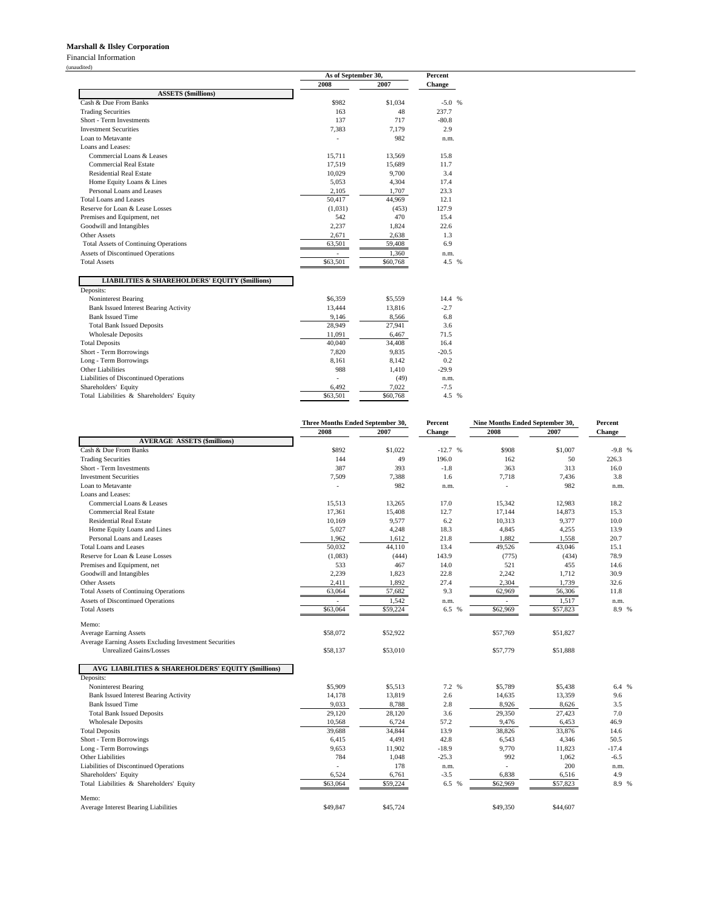#### **Marshall & Ilsley Corporation**

Financial Information

(unaudited)

|                                                                         | As of September 30, |          | Percent |
|-------------------------------------------------------------------------|---------------------|----------|---------|
|                                                                         | 2008                | 2007     | Change  |
| <b>ASSETS</b> (\$millions)                                              |                     |          |         |
| Cash & Due From Banks                                                   | \$982               | \$1.034  | $-5.0%$ |
| <b>Trading Securities</b>                                               | 163                 | 48       | 237.7   |
| Short - Term Investments                                                | 137                 | 717      | $-80.8$ |
| <b>Investment Securities</b>                                            | 7,383               | 7,179    | 2.9     |
| Loan to Metavante                                                       |                     | 982      | n.m.    |
| Loans and Leases:                                                       |                     |          |         |
| Commercial Loans & Leases                                               | 15,711              | 13,569   | 15.8    |
| <b>Commercial Real Estate</b>                                           | 17,519              | 15,689   | 11.7    |
| <b>Residential Real Estate</b>                                          | 10,029              | 9.700    | 3.4     |
| Home Equity Loans & Lines                                               | 5,053               | 4,304    | 17.4    |
| Personal Loans and Leases                                               | 2,105               | 1,707    | 23.3    |
| Total Loans and Leases                                                  | 50,417              | 44,969   | 12.1    |
| Reserve for Loan & Lease Losses                                         | (1,031)             | (453)    | 127.9   |
| Premises and Equipment, net                                             | 542                 | 470      | 15.4    |
| Goodwill and Intangibles                                                | 2,237               | 1,824    | 22.6    |
| <b>Other Assets</b>                                                     | 2,671               | 2,638    | 1.3     |
| <b>Total Assets of Continuing Operations</b>                            | 63,501              | 59,408   | 6.9     |
| <b>Assets of Discontinued Operations</b>                                | ٠                   | 1.360    | n.m.    |
| <b>Total Assets</b>                                                     | \$63,501            | \$60,768 | 4.5 %   |
| <b>LIABILITIES &amp; SHAREHOLDERS' EQUITY (\$millions)</b><br>Deposits: |                     |          |         |
| Noninterest Bearing                                                     | \$6,359             | \$5,559  | 14.4 %  |
| <b>Bank Issued Interest Bearing Activity</b>                            | 13,444              | 13,816   | $-2.7$  |
| <b>Bank Issued Time</b>                                                 | 9.146               | 8.566    | 6.8     |
| <b>Total Bank Issued Deposits</b>                                       | 28,949              | 27,941   | 3.6     |
| <b>Wholesale Deposits</b>                                               | 11,091              | 6,467    | 71.5    |
| <b>Total Deposits</b>                                                   | 40,040              | 34,408   | 16.4    |
| Short - Term Borrowings                                                 | 7,820               | 9.835    | $-20.5$ |
| Long - Term Borrowings                                                  | 8,161               | 8.142    | 0.2     |
| Other Liabilities                                                       | 988                 | 1,410    | $-29.9$ |
| Liabilities of Discontinued Operations                                  | L.                  | (49)     | n.m.    |
| Shareholders' Equity                                                    | 6,492               | 7,022    | $-7.5$  |
| Total Liabilities & Shareholders' Equity                                | \$63,501            | \$60,768 | 4.5 %   |

|                                                        | Three Months Ended September 30, |          | Percent  | Nine Months Ended September 30, |          | Percent       |  |
|--------------------------------------------------------|----------------------------------|----------|----------|---------------------------------|----------|---------------|--|
|                                                        | 2008                             | 2007     | Change   | 2008                            | 2007     | <b>Change</b> |  |
| <b>AVERAGE ASSETS (\$millions)</b>                     |                                  |          |          |                                 |          |               |  |
| Cash & Due From Banks                                  | \$892                            | \$1,022  | $-12.7%$ | \$908                           | \$1,007  | $-9.8$ %      |  |
| <b>Trading Securities</b>                              | 144                              | 49       | 196.0    | 162                             | 50       | 226.3         |  |
| Short - Term Investments                               | 387                              | 393      | $-1.8$   | 363                             | 313      | 16.0          |  |
| <b>Investment Securities</b>                           | 7,509                            | 7,388    | 1.6      | 7,718                           | 7,436    | 3.8           |  |
| Loan to Metavante                                      |                                  | 982      | n.m.     |                                 | 982      | n.m.          |  |
| Loans and Leases:                                      |                                  |          |          |                                 |          |               |  |
| Commercial Loans & Leases                              | 15,513                           | 13,265   | 17.0     | 15,342                          | 12.983   | 18.2          |  |
| <b>Commercial Real Estate</b>                          | 17,361                           | 15,408   | 12.7     | 17,144                          | 14,873   | 15.3          |  |
| <b>Residential Real Estate</b>                         | 10,169                           | 9,577    | 6.2      | 10,313                          | 9,377    | 10.0          |  |
| Home Equity Loans and Lines                            | 5,027                            | 4,248    | 18.3     | 4,845                           | 4,255    | 13.9          |  |
| Personal Loans and Leases                              | 1,962                            | 1,612    | 21.8     | 1,882                           | 1,558    | 20.7          |  |
| <b>Total Loans and Leases</b>                          | 50.032                           | 44,110   | 13.4     | 49.526                          | 43,046   | 15.1          |  |
| Reserve for Loan & Lease Losses                        | (1,083)                          | (444)    | 143.9    | (775)                           | (434)    | 78.9          |  |
| Premises and Equipment, net                            | 533                              | 467      | 14.0     | 521                             | 455      | 14.6          |  |
| Goodwill and Intangibles                               | 2,239                            | 1,823    | 22.8     | 2,242                           | 1,712    | 30.9          |  |
| <b>Other Assets</b>                                    | 2,411                            | 1,892    | 27.4     | 2,304                           | 1,739    | 32.6          |  |
| <b>Total Assets of Continuing Operations</b>           | 63,064                           | 57,682   | 9.3      | 62,969                          | 56,306   | 11.8          |  |
| Assets of Discontinued Operations                      | ÷.                               | 1,542    | n.m.     |                                 | 1,517    | n.m.          |  |
| <b>Total Assets</b>                                    | \$63,064                         | \$59,224 | 6.5 %    | \$62,969                        | \$57,823 | 8.9 %         |  |
| Memo:                                                  |                                  |          |          |                                 |          |               |  |
| <b>Average Earning Assets</b>                          | \$58,072                         | \$52,922 |          | \$57,769                        | \$51,827 |               |  |
| Average Earning Assets Excluding Investment Securities |                                  |          |          |                                 |          |               |  |
| <b>Unrealized Gains/Losses</b>                         | \$58,137                         | \$53,010 |          | \$57,779                        | \$51,888 |               |  |
| AVG LIABILITIES & SHAREHOLDERS' EQUITY (\$millions)    |                                  |          |          |                                 |          |               |  |
| Deposits:                                              |                                  |          |          |                                 |          |               |  |
| Noninterest Bearing                                    | \$5,909                          | \$5.513  | 7.2 %    | \$5,789                         | \$5,438  | 6.4 %         |  |
| <b>Bank Issued Interest Bearing Activity</b>           | 14,178                           | 13,819   | 2.6      | 14,635                          | 13,359   | 9.6           |  |
| <b>Bank Issued Time</b>                                | 9,033                            | 8,788    | 2.8      | 8,926                           | 8,626    | 3.5           |  |
| <b>Total Bank Issued Deposits</b>                      | 29,120                           | 28,120   | 3.6      | 29,350                          | 27,423   | 7.0           |  |
| <b>Wholesale Deposits</b>                              | 10,568                           | 6,724    | 57.2     | 9,476                           | 6,453    | 46.9          |  |
| <b>Total Deposits</b>                                  | 39,688                           | 34,844   | 13.9     | 38,826                          | 33,876   | 14.6          |  |
| Short - Term Borrowings                                | 6,415                            | 4,491    | 42.8     | 6,543                           | 4,346    | 50.5          |  |
| Long - Term Borrowings                                 | 9,653                            | 11,902   | $-18.9$  | 9,770                           | 11,823   | $-17.4$       |  |
| <b>Other Liabilities</b>                               | 784                              | 1,048    | $-25.3$  | 992                             | 1.062    | $-6.5$        |  |
| Liabilities of Discontinued Operations                 |                                  | 178      | n.m.     |                                 | 200      | n.m.          |  |
| Shareholders' Equity                                   | 6,524                            | 6,761    | $-3.5$   | 6,838                           | 6,516    | 4.9           |  |
| Total Liabilities & Shareholders' Equity               | \$63,064                         | \$59,224 | 6.5 %    | \$62,969                        | \$57,823 | 8.9 %         |  |
| Memo:                                                  |                                  |          |          |                                 |          |               |  |
| Average Interest Bearing Liabilities                   | \$49,847                         | \$45,724 |          | \$49,350                        | \$44,607 |               |  |